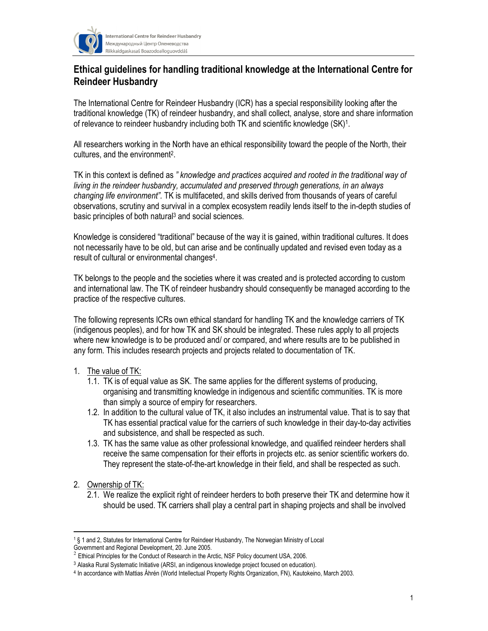

International Centre for Reindeer Husbandry Международный Центр Оленеводства Riikkaidgaskasaš Boazodoalloguovddáš

## Ethical guidelines for handling traditional knowledge at the International Centre for Reindeer Husbandry

The International Centre for Reindeer Husbandry (ICR) has a special responsibility looking after the traditional knowledge (TK) of reindeer husbandry, and shall collect, analyse, store and share information of relevance to reindeer husbandry including both TK and scientific knowledge (SK)<sup>1</sup>.

All researchers working in the North have an ethical responsibility toward the people of the North, their cultures, and the environment<sup>2</sup>.

TK in this context is defined as " knowledge and practices acquired and rooted in the traditional way of living in the reindeer husbandry, accumulated and preserved through generations, in an always changing life environment". TK is multifaceted, and skills derived from thousands of years of careful observations, scrutiny and survival in a complex ecosystem readily lends itself to the in-depth studies of basic principles of both natural<sup>3</sup> and social sciences.

Knowledge is considered "traditional" because of the way it is gained, within traditional cultures. It does not necessarily have to be old, but can arise and be continually updated and revised even today as a result of cultural or environmental changes<sup>4</sup>.

TK belongs to the people and the societies where it was created and is protected according to custom and international law. The TK of reindeer husbandry should consequently be managed according to the practice of the respective cultures.

The following represents ICRs own ethical standard for handling TK and the knowledge carriers of TK (indigenous peoples), and for how TK and SK should be integrated. These rules apply to all projects where new knowledge is to be produced and/ or compared, and where results are to be published in any form. This includes research projects and projects related to documentation of TK.

## 1. The value of TK:

- 1.1. TK is of equal value as SK. The same applies for the different systems of producing, organising and transmitting knowledge in indigenous and scientific communities. TK is more than simply a source of empiry for researchers.
- 1.2. In addition to the cultural value of TK, it also includes an instrumental value. That is to say that TK has essential practical value for the carriers of such knowledge in their day-to-day activities and subsistence, and shall be respected as such.
- 1.3. TK has the same value as other professional knowledge, and qualified reindeer herders shall receive the same compensation for their efforts in projects etc. as senior scientific workers do. They represent the state-of-the-art knowledge in their field, and shall be respected as such.
- 2. Ownership of TK:

 $\overline{a}$ 

2.1. We realize the explicit right of reindeer herders to both preserve their TK and determine how it should be used. TK carriers shall play a central part in shaping projects and shall be involved

<sup>1</sup> § 1 and 2, Statutes for International Centre for Reindeer Husbandry, The Norwegian Ministry of Local

Government and Regional Development, 20. June 2005.

 $2$  Ethical Principles for the Conduct of Research in the Arctic, NSF Policy document USA, 2006.

<sup>3</sup> Alaska Rural Systematic Initiative (ARSI, an indigenous knowledge project focused on education).

<sup>4</sup> In accordance with Mattias Åhrén (World Intellectual Property Rights Organization, FN), Kautokeino, March 2003.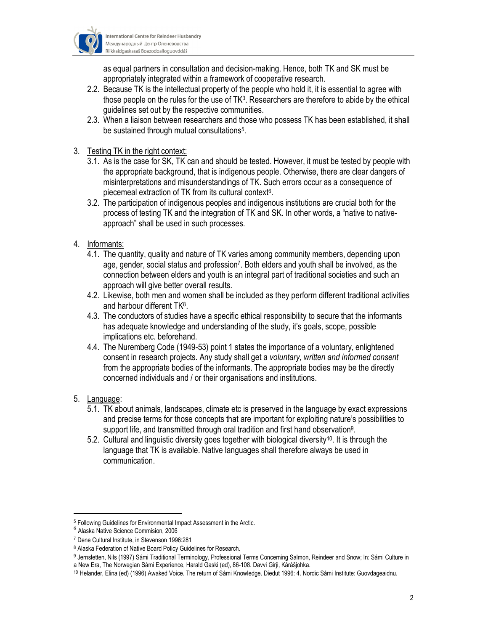

as equal partners in consultation and decision-making. Hence, both TK and SK must be appropriately integrated within a framework of cooperative research.

- 2.2. Because TK is the intellectual property of the people who hold it, it is essential to agree with those people on the rules for the use of  $TK^3$ . Researchers are therefore to abide by the ethical guidelines set out by the respective communities.
- 2.3. When a liaison between researchers and those who possess TK has been established, it shall be sustained through mutual consultations<sup>5</sup>.

## 3. Testing TK in the right context:

- 3.1. As is the case for SK, TK can and should be tested. However, it must be tested by people with the appropriate background, that is indigenous people. Otherwise, there are clear dangers of misinterpretations and misunderstandings of TK. Such errors occur as a consequence of piecemeal extraction of TK from its cultural context 6 .
- 3.2. The participation of indigenous peoples and indigenous institutions are crucial both for the process of testing TK and the integration of TK and SK. In other words, a "native to nativeapproach" shall be used in such processes.
- 4. Informants:
	- 4.1. The quantity, quality and nature of TK varies among community members, depending upon age, gender, social status and profession<sup>7</sup>. Both elders and youth shall be involved, as the connection between elders and youth is an integral part of traditional societies and such an approach will give better overall results.
	- 4.2. Likewise, both men and women shall be included as they perform different traditional activities and harbour different TK<sup>8</sup>.
	- 4.3. The conductors of studies have a specific ethical responsibility to secure that the informants has adequate knowledge and understanding of the study, it's goals, scope, possible implications etc. beforehand.
	- 4.4. The Nuremberg Code (1949-53) point 1 states the importance of a voluntary, enlightened consent in research projects. Any study shall get a voluntary, written and informed consent from the appropriate bodies of the informants. The appropriate bodies may be the directly concerned individuals and / or their organisations and institutions.
- 5. Language:

 $\overline{a}$ 

- 5.1. TK about animals, landscapes, climate etc is preserved in the language by exact expressions and precise terms for those concepts that are important for exploiting nature's possibilities to support life, and transmitted through oral tradition and first hand observation<sup>9</sup>.
- 5.2. Cultural and linguistic diversity goes together with biological diversity10. It is through the language that TK is available. Native languages shall therefore always be used in communication.

<sup>5</sup> Following Guidelines for Environmental Impact Assessment in the Arctic.

<sup>6</sup> Alaska Native Science Commision, 2006

<sup>7</sup> Dene Cultural Institute, in Stevenson 1996:281

<sup>8</sup> Alaska Federation of Native Board Policy Guidelines for Research.

<sup>9</sup> Jernsletten, Nils (1997) Sámi Traditional Terminology, Professional Terms Concerning Salmon, Reindeer and Snow; In: Sámi Culture in a New Era, The Norwegian Sámi Experience, Harald Gaski (ed), 86-108. Davvi Girji, Kárášjohka.

<sup>10</sup> Helander, Elina (ed) (1996) Awaked Voice. The return of Sámi Knowledge. Diedut 1996: 4. Nordic Sámi Institute: Guovdageaidnu.